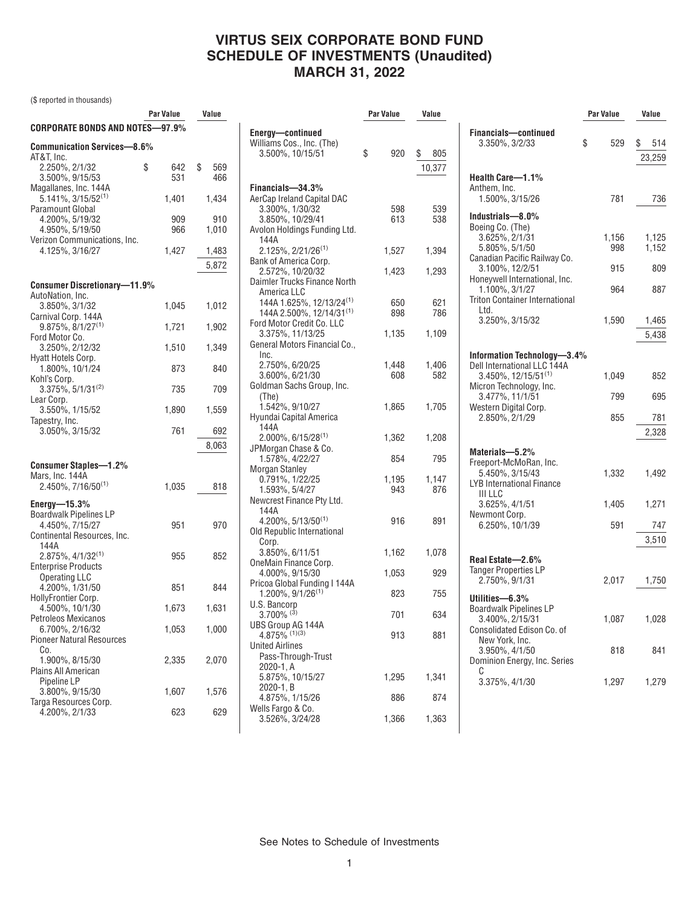# **VIRTUS SEIX CORPORATE BOND FUND SCHEDULE OF INVESTMENTS (Unaudited) MARCH 31, 2022**

(\$ reported in thousands)

|                                                                              | Par Value        | Value            |     |
|------------------------------------------------------------------------------|------------------|------------------|-----|
| CORPORATE BONDS AND NOTES-97.9%                                              |                  |                  | Eno |
| <b>Communication Services-8.6%</b><br>AT&T, Inc.                             |                  |                  | Wil |
| 2.250%, 2/1/32<br>3.500%, 9/15/53                                            | \$<br>642<br>531 | \$<br>569<br>466 | Fin |
| Magallanes, Inc. 144A<br>$5.141\%, 3/15/52^{(1)}$<br><b>Paramount Global</b> | 1,401            | 1,434            | Aeı |
| 4.200%, 5/19/32<br>4.950%, 5/19/50                                           | 909<br>966       | 910<br>1,010     | A۷  |
| Verizon Communications, Inc.<br>4.125%, 3/16/27                              | 1.427            | 1,483<br>5,872   | Baı |
|                                                                              |                  |                  |     |
| <b>Consumer Discretionary-11.9%</b>                                          |                  |                  | Dai |
| AutoNation, Inc.<br>3.850%, 3/1/32<br>Carnival Corp. 144A                    | 1,045            | 1,012            |     |
| $9.875\%, 8/1/27^{(1)}$<br>Ford Motor Co.                                    | 1,721            | 1,902            | For |
| 3.250%, 2/12/32<br>Hyatt Hotels Corp.                                        | 1,510            | 1,349            | Gei |
| 1.800%, 10/1/24<br>Kohl's Corp.                                              | 873              | 840              |     |
| $3.375\%$ , $5/1/31^{(2)}$<br>Lear Corp.                                     | 735              | 709              | Go  |
| 3.550%, 1/15/52<br>Tapestry, Inc.                                            | 1,890            | 1,559            | Hy  |
| 3.050%, 3/15/32                                                              | 761              | 692              |     |
|                                                                              |                  | 8,063            | JPI |
| Consumer Staples-1.2%                                                        |                  |                  | Mo  |
| Mars, Inc. 144A<br>2.450%, 7/16/50(1)                                        | 1,035            | 818              |     |
| Energy- $15.3\%$<br>Boardwalk Pipelines LP                                   |                  |                  | Ne' |
| 4.450%, 7/15/27<br>Continental Resources, Inc.                               | 951              | 970              | Olc |
| 144A<br>$2.875\%, 4/1/32^{(1)}$<br><b>Enterprise Products</b>                | 955              | 852              | On  |
| <b>Operating LLC</b><br>4.200%, 1/31/50                                      | 851              | 844              | Pri |
| HollyFrontier Corp.<br>4.500%, 10/1/30                                       | 1,673            | 1,631            | U.S |
| Petroleos Mexicanos<br>6.700%, 2/16/32                                       | 1,053            | 1,000            | UB  |
| <b>Pioneer Natural Resources</b><br>Co.                                      |                  |                  | Un  |
| 1.900%, 8/15/30<br>Plains All American                                       | 2,335            | 2,070            |     |
| Pipeline LP<br>3.800%, 9/15/30                                               | 1,607            | 1,576            |     |
| Targa Resources Corp.<br>4.200%, 2/1/33                                      | 623              | 629              | We  |

| IG         |                                                                                          | <b>Par Value</b> | Value        |
|------------|------------------------------------------------------------------------------------------|------------------|--------------|
|            | Energy-continued<br>Williams Cos., Inc. (The)<br>3.500%, 10/15/51                        | \$<br>920        | \$<br>805    |
| 696<br>166 |                                                                                          |                  | 10,377       |
| 134        | Financials-34.3%<br>AerCap Ireland Capital DAC<br>3.300%, 1/30/32                        | 598              | 539          |
| )10<br>10  | 3.850%, 10/29/41<br>Avolon Holdings Funding Ltd.<br>144A                                 | 613              | 538          |
| 183        | $2.125\%, 2/21/26^{(1)}$                                                                 | 1,527            | 1,394        |
| 372        | Bank of America Corp.<br>2.572%, 10/20/32<br>Daimler Trucks Finance North<br>America LLC | 1,423            | 1,293        |
| 112        | 144A 1.625%, 12/13/24 <sup>(1)</sup><br>144A 2.500%, 12/14/31(1)                         | 650<br>898       | 621<br>786   |
| )02        | Ford Motor Credit Co. LLC<br>3.375%, 11/13/25                                            | 1,135            | 1,109        |
| 349        | General Motors Financial Co.,<br>Inc.                                                    |                  |              |
| 340        | 2.750%, 6/20/25<br>3.600%, 6/21/30                                                       | 1,448<br>608     | 1,406<br>582 |
| '09        | Goldman Sachs Group, Inc.<br>(The)                                                       |                  |              |
| 59         | 1.542%, 9/10/27<br>Hyundai Capital America<br>144A                                       | 1,865            | 1,705        |
| 92ء<br>)63 | $2.000\%$ , 6/15/28 <sup>(1)</sup><br>JPMorgan Chase & Co.                               | 1,362            | 1,208        |
|            | 1.578%, 4/22/27<br><b>Morgan Stanley</b>                                                 | 854              | 795          |
| 318        | 0.791%, 1/22/25<br>1.593%, 5/4/27<br>Newcrest Finance Pty Ltd.<br>144A                   | 1,195<br>943     | 1,147<br>876 |
| )70        | $4.200\%$ , 5/13/50 <sup>(1)</sup><br>Old Republic International                         | 916              | 891          |
| 352        | Corp.<br>3.850%, 6/11/51                                                                 | 1,162            | 1,078        |
|            | OneMain Finance Corp.<br>4.000%, 9/15/30                                                 | 1,053            | 929          |
| 344        | Pricoa Global Funding I 144A<br>$1.200\%$ , $9/1/26^{(1)}$                               | 823              | 755          |
| i31        | U.S. Bancorp<br>$3.700\%$ <sup>(3)</sup>                                                 | 701              | 634          |
| )00        | UBS Group AG 144A<br>4.875% (1)(3)<br><b>United Airlines</b>                             | 913              | 881          |
| )70        | Pass-Through-Trust<br>2020-1, A                                                          |                  |              |
| 576        | 5.875%, 10/15/27<br>2020-1, B<br>4.875%, 1/15/26                                         | 1,295<br>886     | 1,341<br>874 |
| 629        | Wells Fargo & Co.<br>3.526%, 3/24/28                                                     | 1,366            | 1,363        |
|            |                                                                                          |                  |              |

|                                                                                                  | Par Value    | Value               |  |
|--------------------------------------------------------------------------------------------------|--------------|---------------------|--|
| <b>Financials-continued</b><br>3.350%, 3/2/33                                                    | 529<br>\$    | \$<br>514<br>23,259 |  |
| Health Care-1.1%<br>Anthem, Inc.<br>1.500%, 3/15/26                                              | 781          | 736                 |  |
| Industrials-8.0%<br>Boeing Co. (The)<br>3.625%, 2/1/31<br>5.805%, 5/1/50                         | 1,156<br>998 | 1,125<br>1,152      |  |
| Canadian Pacific Railway Co.<br>3.100%, 12/2/51<br>Honeywell International, Inc.                 | 915          | 809                 |  |
| 1.100%, 3/1/27<br><b>Triton Container International</b>                                          | 964          | 887                 |  |
| Ltd.<br>3.250%, 3/15/32                                                                          | 1,590        | 1,465<br>5,438      |  |
| Information Technology-3.4%<br>Dell International LLC 144A                                       |              |                     |  |
| 3.450%, 12/15/51(1)<br>Micron Technology, Inc.<br>3.477%, 11/1/51                                | 1,049<br>799 | 852<br>695          |  |
| Western Digital Corp.<br>2.850%, 2/1/29                                                          | 855          | 781                 |  |
| Materials-5.2%                                                                                   |              | 2,328               |  |
| Freeport-McMoRan, Inc.<br>5.450%, 3/15/43<br><b>LYB International Finance</b><br><b>III LLC</b>  | 1,332        | 1,492               |  |
| 3.625%, 4/1/51                                                                                   | 1,405        | 1,271               |  |
| Newmont Corp.<br>6.250%, 10/1/39                                                                 | 591          | 747<br>3,510        |  |
| Real Estate-2.6%<br><b>Tanger Properties LP</b><br>2.750%, 9/1/31                                | 2,017        | 1,750               |  |
| Utilities-6.3%<br><b>Boardwalk Pipelines LP</b><br>3.400%, 2/15/31<br>Consolidated Edison Co. of | 1,087        | 1,028               |  |
| New York, Inc.<br>3.950%, 4/1/50<br>Dominion Energy, Inc. Series                                 | 818          | 841                 |  |
| C<br>3.375%, 4/1/30                                                                              | 1,297        | 1,279               |  |

See Notes to Schedule of Investments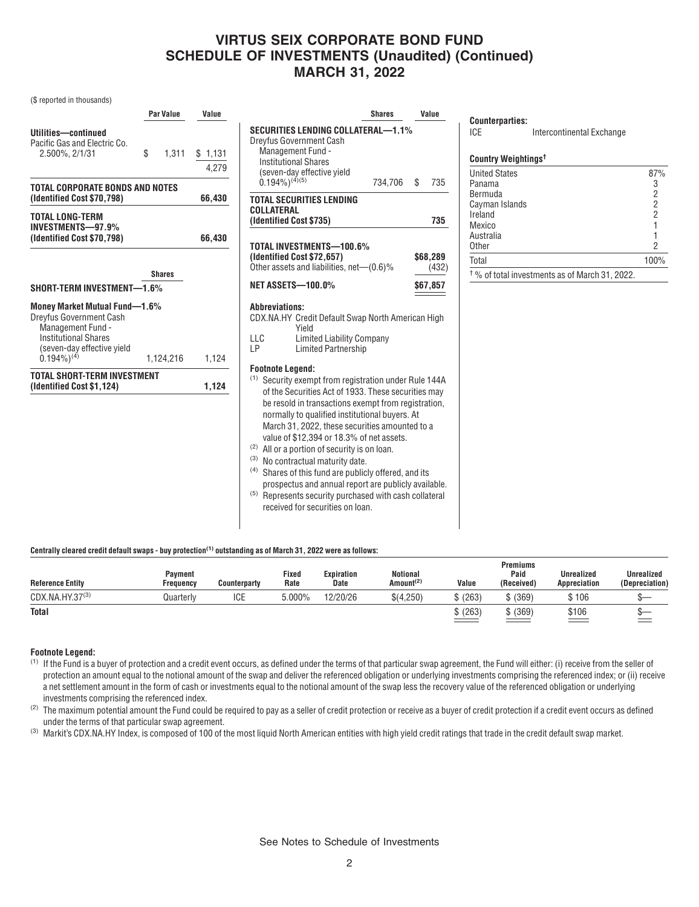## **VIRTUS SEIX CORPORATE BOND FUND SCHEDULE OF INVESTMENTS (Unaudited) (Continued) MARCH 31, 2022**

## (\$ reported in thousands)

| Par Value   | Value                                                                                                                                                              |
|-------------|--------------------------------------------------------------------------------------------------------------------------------------------------------------------|
| \$<br>1.311 | \$1,131<br>4.279                                                                                                                                                   |
|             | 66,430                                                                                                                                                             |
|             | 66,430                                                                                                                                                             |
|             |                                                                                                                                                                    |
|             |                                                                                                                                                                    |
|             | 1,124                                                                                                                                                              |
|             | 1,124                                                                                                                                                              |
|             | TOTAL CORPORATE BONDS AND NOTES<br><b>Shares</b><br>SHORT-TERM INVESTMENT-1.6%<br><b>Money Market Mutual Fund-1.6%</b><br>1,124,216<br>TOTAL SHORT-TERM INVESTMENT |

|                                                                                                                                                                                                                                                                                                                                                                                                       | <b>Shares</b> |    | Value             |  |  |
|-------------------------------------------------------------------------------------------------------------------------------------------------------------------------------------------------------------------------------------------------------------------------------------------------------------------------------------------------------------------------------------------------------|---------------|----|-------------------|--|--|
| SECURITIES LENDING COLLATERAL—1.1%<br>Dreyfus Government Cash<br>Management Fund -<br><b>Institutional Shares</b><br>(seven-day effective yield<br>$(0.194\%)^{(4)(5)}$                                                                                                                                                                                                                               | 734,706       | \$ | 735               |  |  |
| <b>TOTAL SECURITIES LENDING</b>                                                                                                                                                                                                                                                                                                                                                                       |               |    |                   |  |  |
| COLLATERAL<br>(Identified Cost \$735)                                                                                                                                                                                                                                                                                                                                                                 |               |    | 735               |  |  |
| TOTAL INVESTMENTS-100.6%<br>(Identified Cost \$72,657)<br>Other assets and liabilities, net-(0.6)%                                                                                                                                                                                                                                                                                                    |               |    | \$68,289<br>(432) |  |  |
| <b>NET ASSETS-100.0%</b>                                                                                                                                                                                                                                                                                                                                                                              |               |    | \$67,857          |  |  |
| Abbreviations:<br>CDX.NA.HY Credit Default Swap North American High<br>Yield<br><b>Limited Liability Company</b><br>LLC<br>LP<br><b>Limited Partnership</b>                                                                                                                                                                                                                                           |               |    |                   |  |  |
| <b>Footnote Legend:</b><br>(1)<br>Security exempt from registration under Rule 144A<br>of the Securities Act of 1933. These securities may<br>be resold in transactions exempt from registration,<br>normally to qualified institutional buyers. At<br>March 31, 2022, these securities amounted to a<br>value of \$12,394 or 18.3% of net assets.<br>(2)<br>All or a portion of security is on loan. |               |    |                   |  |  |

- (3) No contractual maturity date.
- (4) Shares of this fund are publicly offered, and its prospectus and annual report are publicly available.
- (5) Represents security purchased with cash collateral received for securities on loan.

### **Centrally cleared credit default swaps - buy protection(1) outstanding as of March 31, 2022 were as follows:**

| <b>Reference Entity</b>     | <b>Pavment</b><br>Freauencv | <b>Counterparty</b> | Fixed<br>Rate | Expiration<br>Date | <b>Notional</b><br>Amount <sup>(2)</sup> | Value               | Premiums<br>Paid<br>(Received) | <b>Unrealized</b><br>Appreciation | <b>Unrealized</b><br>(Depreciation) |
|-----------------------------|-----------------------------|---------------------|---------------|--------------------|------------------------------------------|---------------------|--------------------------------|-----------------------------------|-------------------------------------|
| CDX.NA.HY.37 <sup>(3)</sup> | Quarterlv                   | <b>ICE</b>          | 000%،د        | 12/20/26           | \$(4.250)                                | (263)               | (369)                          | \$106                             |                                     |
| <b>Total</b>                |                             |                     |               |                    |                                          | $\frac{1}{2}$ (263) | (369)                          | \$106                             |                                     |

### **Footnote Legend:**

- (1) If the Fund is a buyer of protection and a credit event occurs, as defined under the terms of that particular swap agreement, the Fund will either: (i) receive from the seller of protection an amount equal to the notional amount of the swap and deliver the referenced obligation or underlying investments comprising the referenced index; or (ii) receive a net settlement amount in the form of cash or investments equal to the notional amount of the swap less the recovery value of the referenced obligation or underlying investments comprising the referenced index.
- $(2)$  The maximum potential amount the Fund could be required to pay as a seller of credit protection or receive as a buyer of credit protection if a credit event occurs as defined under the terms of that particular swap agreement.

<sup>(3)</sup> Markit's CDX.NA.HY Index, is composed of 100 of the most liquid North American entities with high yield credit ratings that trade in the credit default swap market.

**Counterparties:**

**Country Weightings†**

| <b>United States</b> | 87%  |
|----------------------|------|
| Panama               |      |
| Bermuda              | 2    |
| Cayman Islands       | 2    |
| Ireland              | 2    |
| Mexico               |      |
| Australia            |      |
| Other                | 2    |
| Total                | 100% |
| nnnn                 |      |

† % of total investments as of March 31, 2022.

ICE Intercontinental Exchange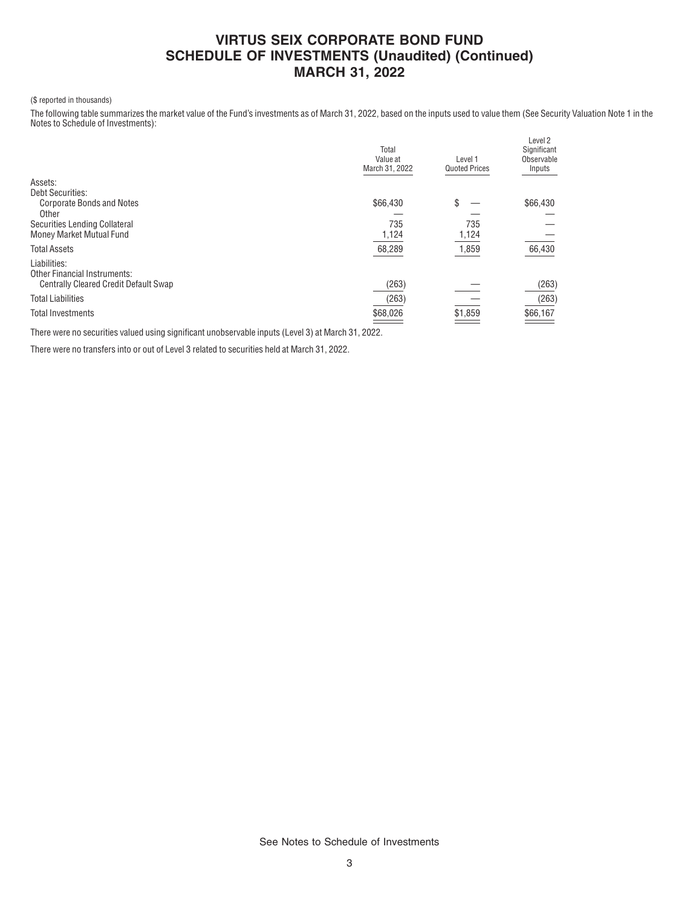## **VIRTUS SEIX CORPORATE BOND FUND SCHEDULE OF INVESTMENTS (Unaudited) (Continued) MARCH 31, 2022**

### (\$ reported in thousands)

The following table summarizes the market value of the Fund's investments as of March 31, 2022, based on the inputs used to value them (See Security Valuation Note 1 in the Notes to Schedule of Investments):

|                                              | Total<br>Value at<br>March 31, 2022 | Level 1<br><b>Quoted Prices</b> | Level 2<br>Significant<br>Observable<br>Inputs |
|----------------------------------------------|-------------------------------------|---------------------------------|------------------------------------------------|
| Assets:                                      |                                     |                                 |                                                |
| <b>Debt Securities:</b>                      |                                     |                                 |                                                |
| <b>Corporate Bonds and Notes</b>             | \$66,430                            | \$                              | \$66,430                                       |
| Other                                        |                                     |                                 |                                                |
| Securities Lending Collateral                | 735                                 | 735                             |                                                |
| Money Market Mutual Fund                     | 1,124                               | 1,124                           |                                                |
| <b>Total Assets</b>                          | 68,289                              | 1,859                           | 66,430                                         |
| Liabilities:                                 |                                     |                                 |                                                |
| <b>Other Financial Instruments:</b>          |                                     |                                 |                                                |
| <b>Centrally Cleared Credit Default Swap</b> | (263)                               |                                 | (263)                                          |
| <b>Total Liabilities</b>                     | (263)                               |                                 | (263)                                          |
| <b>Total Investments</b>                     | \$68,026                            | \$1,859                         | \$66,167                                       |
|                                              |                                     |                                 |                                                |

There were no securities valued using significant unobservable inputs (Level 3) at March 31, 2022.

There were no transfers into or out of Level 3 related to securities held at March 31, 2022.

See Notes to Schedule of Investments